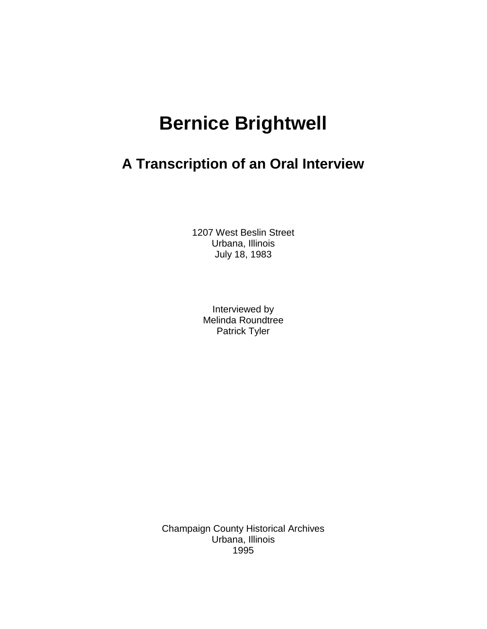# **Bernice Brightwell**

# **A Transcription of an Oral Interview**

1207 West Beslin Street Urbana, Illinois July 18, 1983

> Interviewed by Melinda Roundtree Patrick Tyler

Champaign County Historical Archives Urbana, Illinois 1995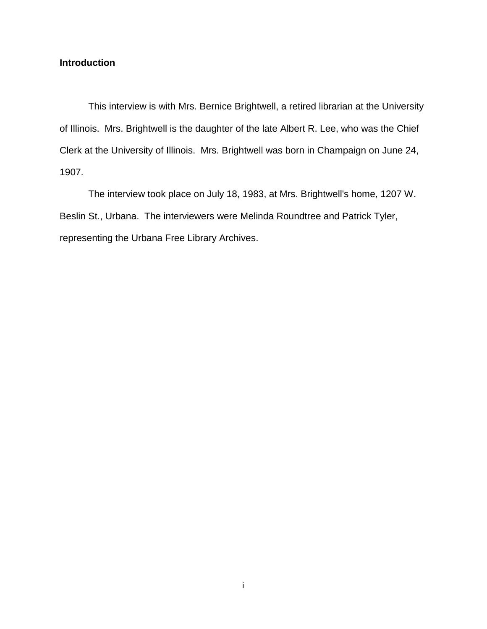# **Introduction**

This interview is with Mrs. Bernice Brightwell, a retired librarian at the University of Illinois. Mrs. Brightwell is the daughter of the late Albert R. Lee, who was the Chief Clerk at the University of Illinois. Mrs. Brightwell was born in Champaign on June 24, 1907.

The interview took place on July 18, 1983, at Mrs. Brightwell's home, 1207 W. Beslin St., Urbana. The interviewers were Melinda Roundtree and Patrick Tyler, representing the Urbana Free Library Archives.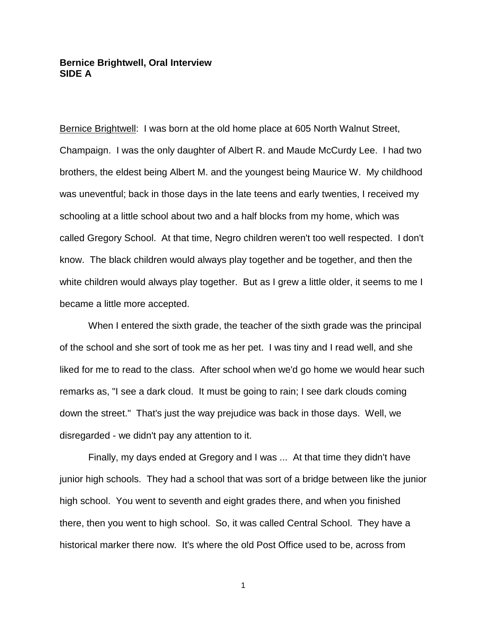# **Bernice Brightwell, Oral Interview SIDE A**

Bernice Brightwell: I was born at the old home place at 605 North Walnut Street, Champaign. I was the only daughter of Albert R. and Maude McCurdy Lee. I had two brothers, the eldest being Albert M. and the youngest being Maurice W. My childhood was uneventful; back in those days in the late teens and early twenties, I received my schooling at a little school about two and a half blocks from my home, which was called Gregory School. At that time, Negro children weren't too well respected. I don't know. The black children would always play together and be together, and then the white children would always play together. But as I grew a little older, it seems to me I became a little more accepted.

When I entered the sixth grade, the teacher of the sixth grade was the principal of the school and she sort of took me as her pet. I was tiny and I read well, and she liked for me to read to the class. After school when we'd go home we would hear such remarks as, "I see a dark cloud. It must be going to rain; I see dark clouds coming down the street." That's just the way prejudice was back in those days. Well, we disregarded - we didn't pay any attention to it.

Finally, my days ended at Gregory and I was ... At that time they didn't have junior high schools. They had a school that was sort of a bridge between like the junior high school. You went to seventh and eight grades there, and when you finished there, then you went to high school. So, it was called Central School. They have a historical marker there now. It's where the old Post Office used to be, across from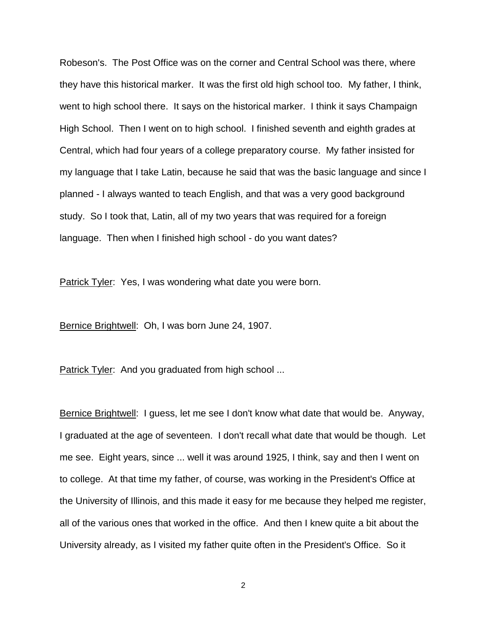Robeson's. The Post Office was on the corner and Central School was there, where they have this historical marker. It was the first old high school too. My father, I think, went to high school there. It says on the historical marker. I think it says Champaign High School. Then I went on to high school. I finished seventh and eighth grades at Central, which had four years of a college preparatory course. My father insisted for my language that I take Latin, because he said that was the basic language and since I planned - I always wanted to teach English, and that was a very good background study. So I took that, Latin, all of my two years that was required for a foreign language. Then when I finished high school - do you want dates?

Patrick Tyler: Yes, I was wondering what date you were born.

Bernice Brightwell: Oh, I was born June 24, 1907.

Patrick Tyler: And you graduated from high school ...

Bernice Brightwell: I guess, let me see I don't know what date that would be. Anyway, I graduated at the age of seventeen. I don't recall what date that would be though. Let me see. Eight years, since ... well it was around 1925, I think, say and then I went on to college. At that time my father, of course, was working in the President's Office at the University of Illinois, and this made it easy for me because they helped me register, all of the various ones that worked in the office. And then I knew quite a bit about the University already, as I visited my father quite often in the President's Office. So it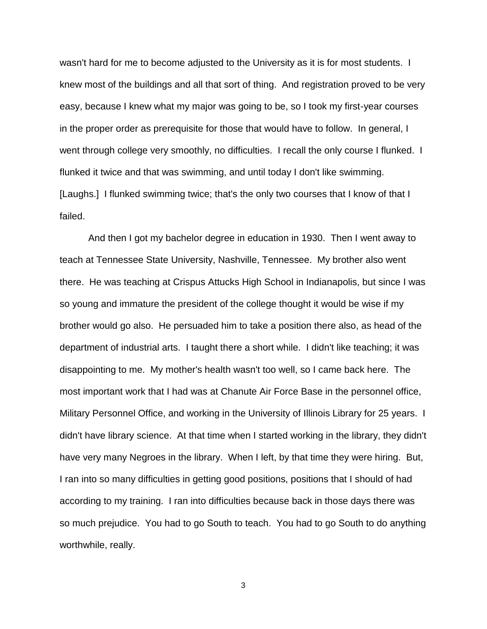wasn't hard for me to become adjusted to the University as it is for most students. I knew most of the buildings and all that sort of thing. And registration proved to be very easy, because I knew what my major was going to be, so I took my first-year courses in the proper order as prerequisite for those that would have to follow. In general, I went through college very smoothly, no difficulties. I recall the only course I flunked. I flunked it twice and that was swimming, and until today I don't like swimming. [Laughs.] I flunked swimming twice; that's the only two courses that I know of that I failed.

And then I got my bachelor degree in education in 1930. Then I went away to teach at Tennessee State University, Nashville, Tennessee. My brother also went there. He was teaching at Crispus Attucks High School in Indianapolis, but since I was so young and immature the president of the college thought it would be wise if my brother would go also. He persuaded him to take a position there also, as head of the department of industrial arts. I taught there a short while. I didn't like teaching; it was disappointing to me. My mother's health wasn't too well, so I came back here. The most important work that I had was at Chanute Air Force Base in the personnel office, Military Personnel Office, and working in the University of Illinois Library for 25 years. I didn't have library science. At that time when I started working in the library, they didn't have very many Negroes in the library. When I left, by that time they were hiring. But, I ran into so many difficulties in getting good positions, positions that I should of had according to my training. I ran into difficulties because back in those days there was so much prejudice. You had to go South to teach. You had to go South to do anything worthwhile, really.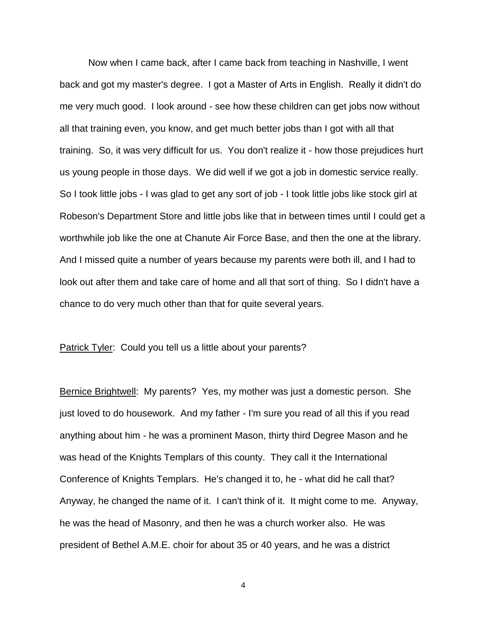Now when I came back, after I came back from teaching in Nashville, I went back and got my master's degree. I got a Master of Arts in English. Really it didn't do me very much good. I look around - see how these children can get jobs now without all that training even, you know, and get much better jobs than I got with all that training. So, it was very difficult for us. You don't realize it - how those prejudices hurt us young people in those days. We did well if we got a job in domestic service really. So I took little jobs - I was glad to get any sort of job - I took little jobs like stock girl at Robeson's Department Store and little jobs like that in between times until I could get a worthwhile job like the one at Chanute Air Force Base, and then the one at the library. And I missed quite a number of years because my parents were both ill, and I had to look out after them and take care of home and all that sort of thing. So I didn't have a chance to do very much other than that for quite several years.

Patrick Tyler: Could you tell us a little about your parents?

Bernice Brightwell: My parents? Yes, my mother was just a domestic person. She just loved to do housework. And my father - I'm sure you read of all this if you read anything about him - he was a prominent Mason, thirty third Degree Mason and he was head of the Knights Templars of this county. They call it the International Conference of Knights Templars. He's changed it to, he - what did he call that? Anyway, he changed the name of it. I can't think of it. It might come to me. Anyway, he was the head of Masonry, and then he was a church worker also. He was president of Bethel A.M.E. choir for about 35 or 40 years, and he was a district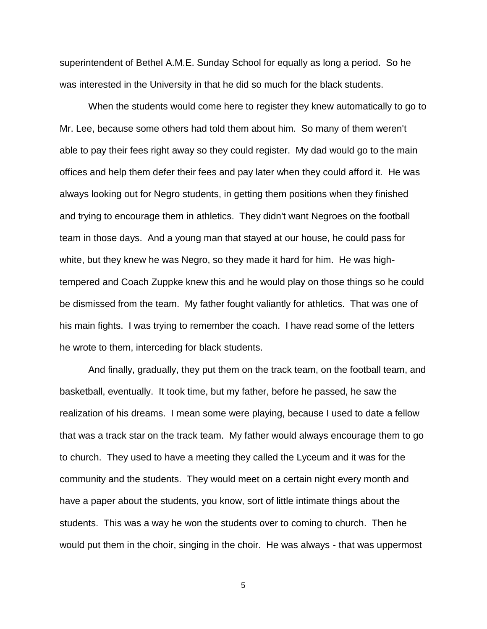superintendent of Bethel A.M.E. Sunday School for equally as long a period. So he was interested in the University in that he did so much for the black students.

When the students would come here to register they knew automatically to go to Mr. Lee, because some others had told them about him. So many of them weren't able to pay their fees right away so they could register. My dad would go to the main offices and help them defer their fees and pay later when they could afford it. He was always looking out for Negro students, in getting them positions when they finished and trying to encourage them in athletics. They didn't want Negroes on the football team in those days. And a young man that stayed at our house, he could pass for white, but they knew he was Negro, so they made it hard for him. He was hightempered and Coach Zuppke knew this and he would play on those things so he could be dismissed from the team. My father fought valiantly for athletics. That was one of his main fights. I was trying to remember the coach. I have read some of the letters he wrote to them, interceding for black students.

And finally, gradually, they put them on the track team, on the football team, and basketball, eventually. It took time, but my father, before he passed, he saw the realization of his dreams. I mean some were playing, because I used to date a fellow that was a track star on the track team. My father would always encourage them to go to church. They used to have a meeting they called the Lyceum and it was for the community and the students. They would meet on a certain night every month and have a paper about the students, you know, sort of little intimate things about the students. This was a way he won the students over to coming to church. Then he would put them in the choir, singing in the choir. He was always - that was uppermost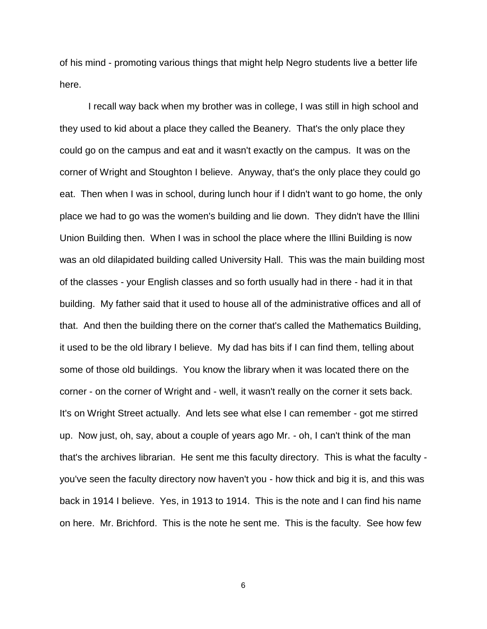of his mind - promoting various things that might help Negro students live a better life here.

I recall way back when my brother was in college, I was still in high school and they used to kid about a place they called the Beanery. That's the only place they could go on the campus and eat and it wasn't exactly on the campus. It was on the corner of Wright and Stoughton I believe. Anyway, that's the only place they could go eat. Then when I was in school, during lunch hour if I didn't want to go home, the only place we had to go was the women's building and lie down. They didn't have the Illini Union Building then. When I was in school the place where the Illini Building is now was an old dilapidated building called University Hall. This was the main building most of the classes - your English classes and so forth usually had in there - had it in that building. My father said that it used to house all of the administrative offices and all of that. And then the building there on the corner that's called the Mathematics Building, it used to be the old library I believe. My dad has bits if I can find them, telling about some of those old buildings. You know the library when it was located there on the corner - on the corner of Wright and - well, it wasn't really on the corner it sets back. It's on Wright Street actually. And lets see what else I can remember - got me stirred up. Now just, oh, say, about a couple of years ago Mr. - oh, I can't think of the man that's the archives librarian. He sent me this faculty directory. This is what the faculty you've seen the faculty directory now haven't you - how thick and big it is, and this was back in 1914 I believe. Yes, in 1913 to 1914. This is the note and I can find his name on here. Mr. Brichford. This is the note he sent me. This is the faculty. See how few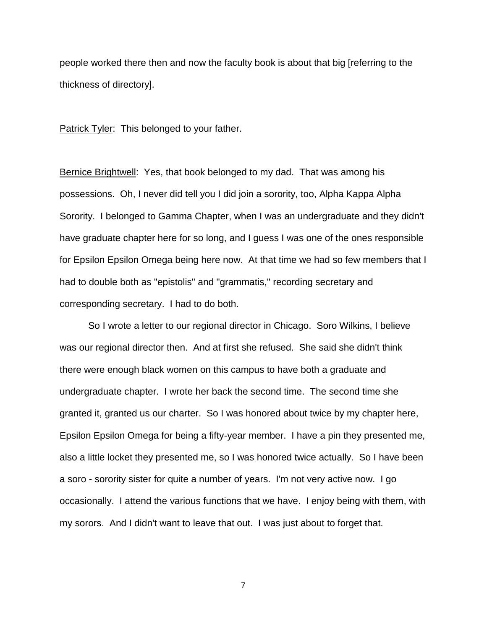people worked there then and now the faculty book is about that big [referring to the thickness of directory].

Patrick Tyler: This belonged to your father.

Bernice Brightwell: Yes, that book belonged to my dad. That was among his possessions. Oh, I never did tell you I did join a sorority, too, Alpha Kappa Alpha Sorority. I belonged to Gamma Chapter, when I was an undergraduate and they didn't have graduate chapter here for so long, and I guess I was one of the ones responsible for Epsilon Epsilon Omega being here now. At that time we had so few members that I had to double both as "epistolis" and "grammatis," recording secretary and corresponding secretary. I had to do both.

So I wrote a letter to our regional director in Chicago. Soro Wilkins, I believe was our regional director then. And at first she refused. She said she didn't think there were enough black women on this campus to have both a graduate and undergraduate chapter. I wrote her back the second time. The second time she granted it, granted us our charter. So I was honored about twice by my chapter here, Epsilon Epsilon Omega for being a fifty-year member. I have a pin they presented me, also a little locket they presented me, so I was honored twice actually. So I have been a soro - sorority sister for quite a number of years. I'm not very active now. I go occasionally. I attend the various functions that we have. I enjoy being with them, with my sorors. And I didn't want to leave that out. I was just about to forget that.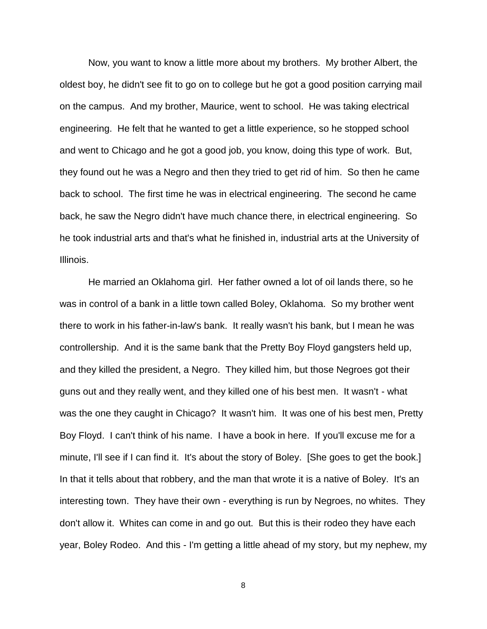Now, you want to know a little more about my brothers. My brother Albert, the oldest boy, he didn't see fit to go on to college but he got a good position carrying mail on the campus. And my brother, Maurice, went to school. He was taking electrical engineering. He felt that he wanted to get a little experience, so he stopped school and went to Chicago and he got a good job, you know, doing this type of work. But, they found out he was a Negro and then they tried to get rid of him. So then he came back to school. The first time he was in electrical engineering. The second he came back, he saw the Negro didn't have much chance there, in electrical engineering. So he took industrial arts and that's what he finished in, industrial arts at the University of Illinois.

He married an Oklahoma girl. Her father owned a lot of oil lands there, so he was in control of a bank in a little town called Boley, Oklahoma. So my brother went there to work in his father-in-law's bank. It really wasn't his bank, but I mean he was controllership. And it is the same bank that the Pretty Boy Floyd gangsters held up, and they killed the president, a Negro. They killed him, but those Negroes got their guns out and they really went, and they killed one of his best men. It wasn't - what was the one they caught in Chicago? It wasn't him. It was one of his best men, Pretty Boy Floyd. I can't think of his name. I have a book in here. If you'll excuse me for a minute, I'll see if I can find it. It's about the story of Boley. [She goes to get the book.] In that it tells about that robbery, and the man that wrote it is a native of Boley. It's an interesting town. They have their own - everything is run by Negroes, no whites. They don't allow it. Whites can come in and go out. But this is their rodeo they have each year, Boley Rodeo. And this - I'm getting a little ahead of my story, but my nephew, my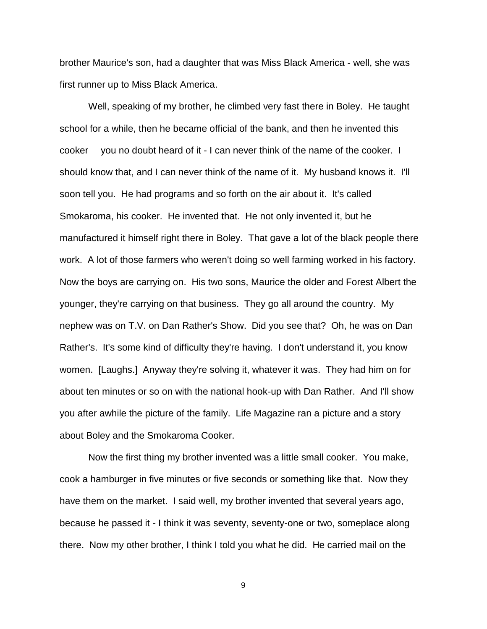brother Maurice's son, had a daughter that was Miss Black America - well, she was first runner up to Miss Black America.

Well, speaking of my brother, he climbed very fast there in Boley. He taught school for a while, then he became official of the bank, and then he invented this cooker you no doubt heard of it - I can never think of the name of the cooker. I should know that, and I can never think of the name of it. My husband knows it. I'll soon tell you. He had programs and so forth on the air about it. It's called Smokaroma, his cooker. He invented that. He not only invented it, but he manufactured it himself right there in Boley. That gave a lot of the black people there work. A lot of those farmers who weren't doing so well farming worked in his factory. Now the boys are carrying on. His two sons, Maurice the older and Forest Albert the younger, they're carrying on that business. They go all around the country. My nephew was on T.V. on Dan Rather's Show. Did you see that? Oh, he was on Dan Rather's. It's some kind of difficulty they're having. I don't understand it, you know women. [Laughs.] Anyway they're solving it, whatever it was. They had him on for about ten minutes or so on with the national hook-up with Dan Rather. And I'll show you after awhile the picture of the family. Life Magazine ran a picture and a story about Boley and the Smokaroma Cooker.

Now the first thing my brother invented was a little small cooker. You make, cook a hamburger in five minutes or five seconds or something like that. Now they have them on the market. I said well, my brother invented that several years ago, because he passed it - I think it was seventy, seventy-one or two, someplace along there. Now my other brother, I think I told you what he did. He carried mail on the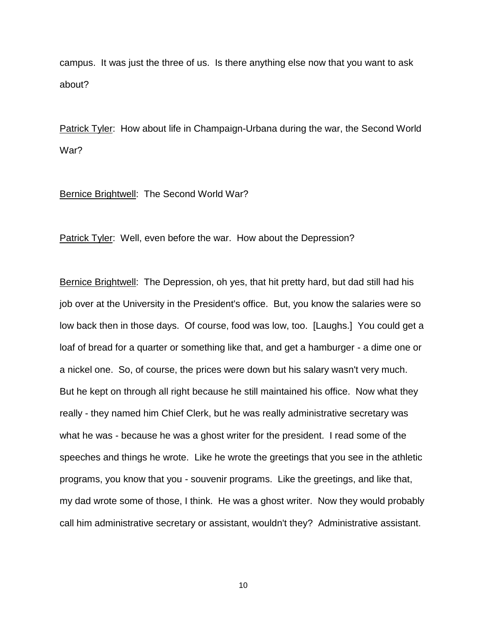campus. It was just the three of us. Is there anything else now that you want to ask about?

Patrick Tyler: How about life in Champaign-Urbana during the war, the Second World War?

#### Bernice Brightwell: The Second World War?

Patrick Tyler: Well, even before the war. How about the Depression?

Bernice Brightwell: The Depression, oh yes, that hit pretty hard, but dad still had his job over at the University in the President's office. But, you know the salaries were so low back then in those days. Of course, food was low, too. [Laughs.] You could get a loaf of bread for a quarter or something like that, and get a hamburger - a dime one or a nickel one. So, of course, the prices were down but his salary wasn't very much. But he kept on through all right because he still maintained his office. Now what they really - they named him Chief Clerk, but he was really administrative secretary was what he was - because he was a ghost writer for the president. I read some of the speeches and things he wrote. Like he wrote the greetings that you see in the athletic programs, you know that you - souvenir programs. Like the greetings, and like that, my dad wrote some of those, I think. He was a ghost writer. Now they would probably call him administrative secretary or assistant, wouldn't they? Administrative assistant.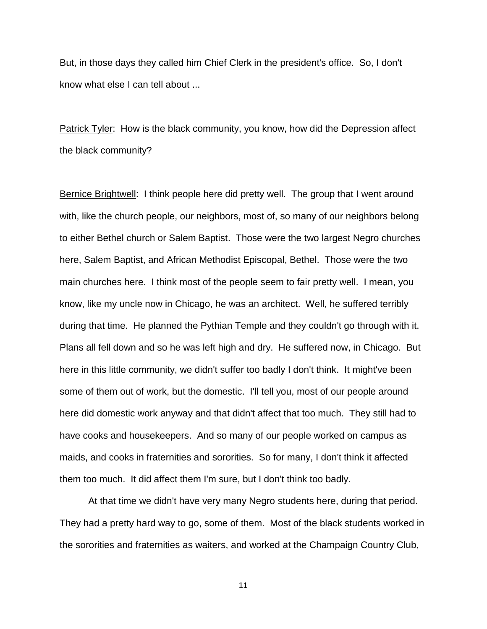But, in those days they called him Chief Clerk in the president's office. So, I don't know what else I can tell about ...

Patrick Tyler: How is the black community, you know, how did the Depression affect the black community?

Bernice Brightwell: I think people here did pretty well. The group that I went around with, like the church people, our neighbors, most of, so many of our neighbors belong to either Bethel church or Salem Baptist. Those were the two largest Negro churches here, Salem Baptist, and African Methodist Episcopal, Bethel. Those were the two main churches here. I think most of the people seem to fair pretty well. I mean, you know, like my uncle now in Chicago, he was an architect. Well, he suffered terribly during that time. He planned the Pythian Temple and they couldn't go through with it. Plans all fell down and so he was left high and dry. He suffered now, in Chicago. But here in this little community, we didn't suffer too badly I don't think. It might've been some of them out of work, but the domestic. I'll tell you, most of our people around here did domestic work anyway and that didn't affect that too much. They still had to have cooks and housekeepers. And so many of our people worked on campus as maids, and cooks in fraternities and sororities. So for many, I don't think it affected them too much. It did affect them I'm sure, but I don't think too badly.

At that time we didn't have very many Negro students here, during that period. They had a pretty hard way to go, some of them. Most of the black students worked in the sororities and fraternities as waiters, and worked at the Champaign Country Club,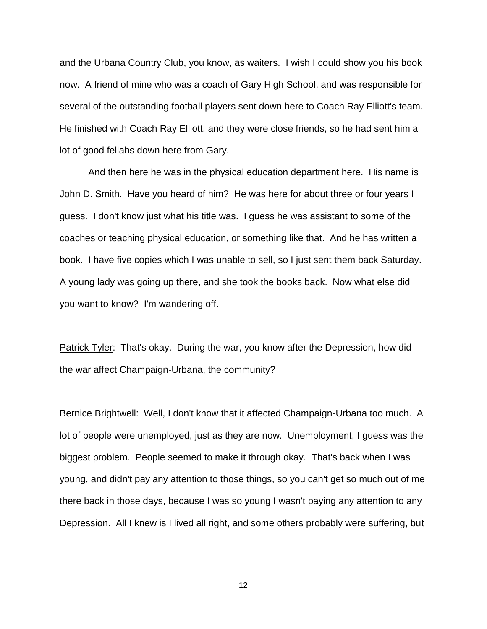and the Urbana Country Club, you know, as waiters. I wish I could show you his book now. A friend of mine who was a coach of Gary High School, and was responsible for several of the outstanding football players sent down here to Coach Ray Elliott's team. He finished with Coach Ray Elliott, and they were close friends, so he had sent him a lot of good fellahs down here from Gary.

And then here he was in the physical education department here. His name is John D. Smith. Have you heard of him? He was here for about three or four years I guess. I don't know just what his title was. I guess he was assistant to some of the coaches or teaching physical education, or something like that. And he has written a book. I have five copies which I was unable to sell, so I just sent them back Saturday. A young lady was going up there, and she took the books back. Now what else did you want to know? I'm wandering off.

Patrick Tyler: That's okay. During the war, you know after the Depression, how did the war affect Champaign-Urbana, the community?

Bernice Brightwell: Well, I don't know that it affected Champaign-Urbana too much. A lot of people were unemployed, just as they are now. Unemployment, I guess was the biggest problem. People seemed to make it through okay. That's back when I was young, and didn't pay any attention to those things, so you can't get so much out of me there back in those days, because I was so young I wasn't paying any attention to any Depression. All I knew is I lived all right, and some others probably were suffering, but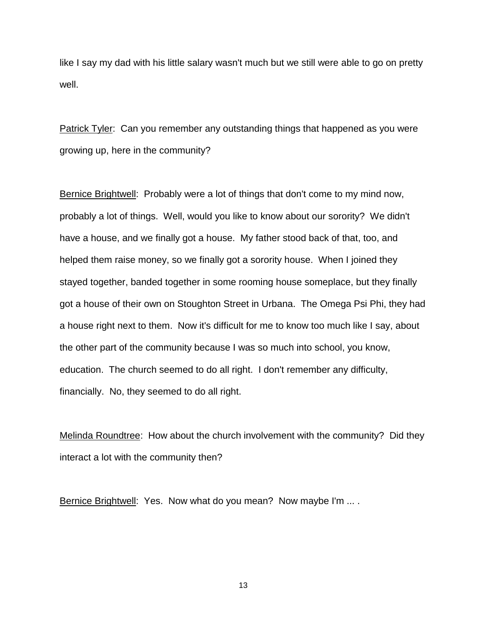like I say my dad with his little salary wasn't much but we still were able to go on pretty well.

Patrick Tyler: Can you remember any outstanding things that happened as you were growing up, here in the community?

Bernice Brightwell: Probably were a lot of things that don't come to my mind now, probably a lot of things. Well, would you like to know about our sorority? We didn't have a house, and we finally got a house. My father stood back of that, too, and helped them raise money, so we finally got a sorority house. When I joined they stayed together, banded together in some rooming house someplace, but they finally got a house of their own on Stoughton Street in Urbana. The Omega Psi Phi, they had a house right next to them. Now it's difficult for me to know too much like I say, about the other part of the community because I was so much into school, you know, education. The church seemed to do all right. I don't remember any difficulty, financially. No, they seemed to do all right.

Melinda Roundtree: How about the church involvement with the community? Did they interact a lot with the community then?

Bernice Brightwell: Yes. Now what do you mean? Now maybe I'm ....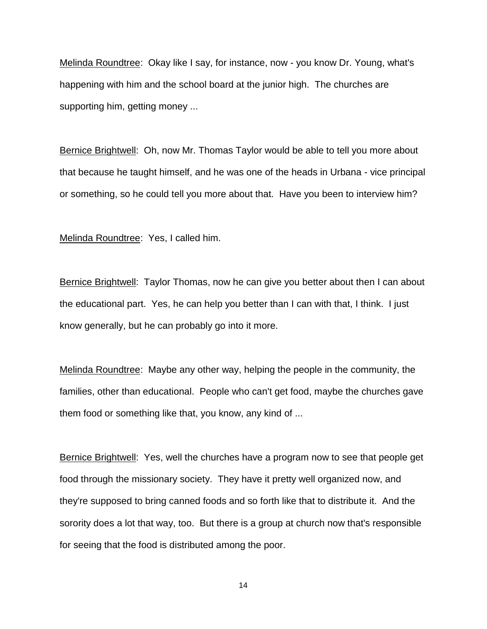Melinda Roundtree: Okay like I say, for instance, now - you know Dr. Young, what's happening with him and the school board at the junior high. The churches are supporting him, getting money ...

Bernice Brightwell: Oh, now Mr. Thomas Taylor would be able to tell you more about that because he taught himself, and he was one of the heads in Urbana - vice principal or something, so he could tell you more about that. Have you been to interview him?

Melinda Roundtree: Yes, I called him.

Bernice Brightwell: Taylor Thomas, now he can give you better about then I can about the educational part. Yes, he can help you better than I can with that, I think. I just know generally, but he can probably go into it more.

Melinda Roundtree: Maybe any other way, helping the people in the community, the families, other than educational. People who can't get food, maybe the churches gave them food or something like that, you know, any kind of ...

Bernice Brightwell: Yes, well the churches have a program now to see that people get food through the missionary society. They have it pretty well organized now, and they're supposed to bring canned foods and so forth like that to distribute it. And the sorority does a lot that way, too. But there is a group at church now that's responsible for seeing that the food is distributed among the poor.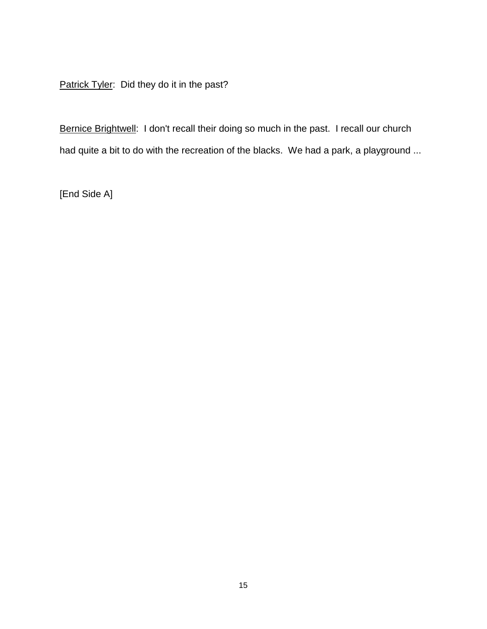Patrick Tyler: Did they do it in the past?

Bernice Brightwell: I don't recall their doing so much in the past. I recall our church had quite a bit to do with the recreation of the blacks. We had a park, a playground ...

[End Side A]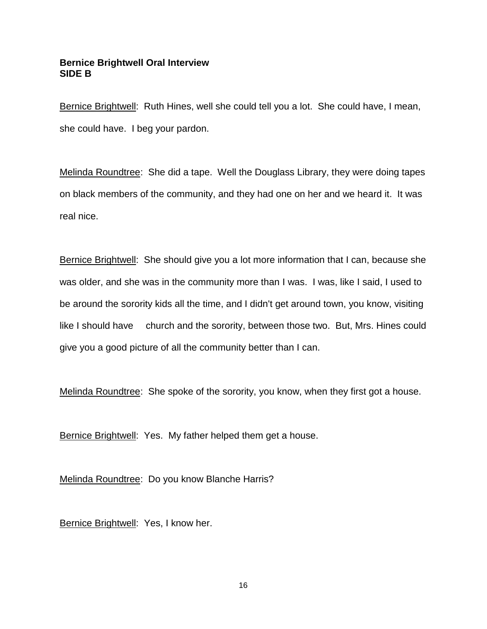# **Bernice Brightwell Oral Interview SIDE B**

Bernice Brightwell: Ruth Hines, well she could tell you a lot. She could have, I mean, she could have. I beg your pardon.

Melinda Roundtree: She did a tape. Well the Douglass Library, they were doing tapes on black members of the community, and they had one on her and we heard it. It was real nice.

Bernice Brightwell: She should give you a lot more information that I can, because she was older, and she was in the community more than I was. I was, like I said, I used to be around the sorority kids all the time, and I didn't get around town, you know, visiting like I should have church and the sorority, between those two. But, Mrs. Hines could give you a good picture of all the community better than I can.

Melinda Roundtree: She spoke of the sorority, you know, when they first got a house.

Bernice Brightwell: Yes. My father helped them get a house.

Melinda Roundtree: Do you know Blanche Harris?

Bernice Brightwell: Yes, I know her.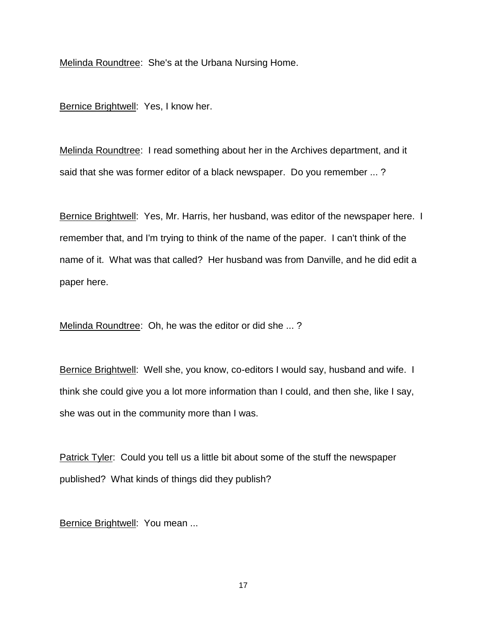Melinda Roundtree: She's at the Urbana Nursing Home.

Bernice Brightwell: Yes, I know her.

Melinda Roundtree: I read something about her in the Archives department, and it said that she was former editor of a black newspaper. Do you remember ... ?

Bernice Brightwell: Yes, Mr. Harris, her husband, was editor of the newspaper here. I remember that, and I'm trying to think of the name of the paper. I can't think of the name of it. What was that called? Her husband was from Danville, and he did edit a paper here.

Melinda Roundtree: Oh, he was the editor or did she ... ?

Bernice Brightwell: Well she, you know, co-editors I would say, husband and wife. I think she could give you a lot more information than I could, and then she, like I say, she was out in the community more than I was.

Patrick Tyler: Could you tell us a little bit about some of the stuff the newspaper published? What kinds of things did they publish?

Bernice Brightwell: You mean ...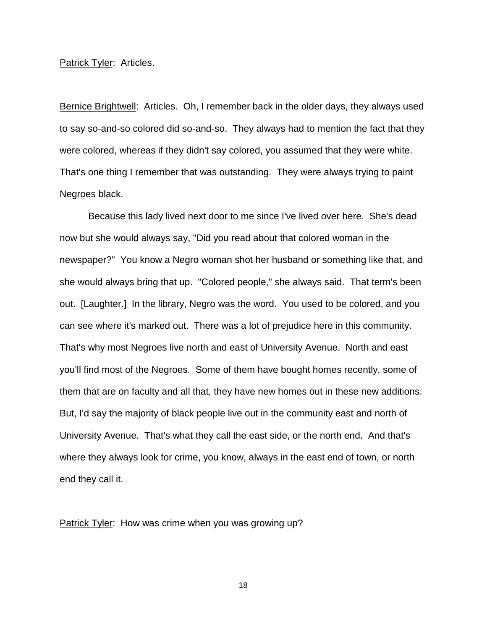Patrick Tyler: Articles.

Bernice Brightwell: Articles. Oh, I remember back in the older days, they always used to say so-and-so colored did so-and-so. They always had to mention the fact that they were colored, whereas if they didn't say colored, you assumed that they were white. That's one thing I remember that was outstanding. They were always trying to paint Negroes black.

Because this lady lived next door to me since I've lived over here. She's dead now but she would always say, "Did you read about that colored woman in the newspaper?" You know a Negro woman shot her husband or something like that, and she would always bring that up. "Colored people," she always said. That term's been out. [Laughter.] In the library, Negro was the word. You used to be colored, and you can see where it's marked out. There was a lot of prejudice here in this community. That's why most Negroes live north and east of University Avenue. North and east you'll find most of the Negroes. Some of them have bought homes recently, some of them that are on faculty and all that, they have new homes out in these new additions. But, I'd say the majority of black people live out in the community east and north of University Avenue. That's what they call the east side, or the north end. And that's where they always look for crime, you know, always in the east end of town, or north end they call it.

Patrick Tyler: How was crime when you was growing up?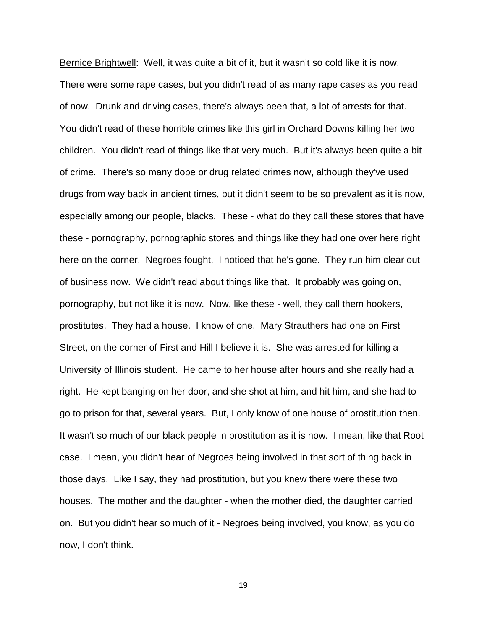Bernice Brightwell: Well, it was quite a bit of it, but it wasn't so cold like it is now. There were some rape cases, but you didn't read of as many rape cases as you read of now. Drunk and driving cases, there's always been that, a lot of arrests for that. You didn't read of these horrible crimes like this girl in Orchard Downs killing her two children. You didn't read of things like that very much. But it's always been quite a bit of crime. There's so many dope or drug related crimes now, although they've used drugs from way back in ancient times, but it didn't seem to be so prevalent as it is now, especially among our people, blacks. These - what do they call these stores that have these - pornography, pornographic stores and things like they had one over here right here on the corner. Negroes fought. I noticed that he's gone. They run him clear out of business now. We didn't read about things like that. It probably was going on, pornography, but not like it is now. Now, like these - well, they call them hookers, prostitutes. They had a house. I know of one. Mary Strauthers had one on First Street, on the corner of First and Hill I believe it is. She was arrested for killing a University of Illinois student. He came to her house after hours and she really had a right. He kept banging on her door, and she shot at him, and hit him, and she had to go to prison for that, several years. But, I only know of one house of prostitution then. It wasn't so much of our black people in prostitution as it is now. I mean, like that Root case. I mean, you didn't hear of Negroes being involved in that sort of thing back in those days. Like I say, they had prostitution, but you knew there were these two houses. The mother and the daughter - when the mother died, the daughter carried on. But you didn't hear so much of it - Negroes being involved, you know, as you do now, I don't think.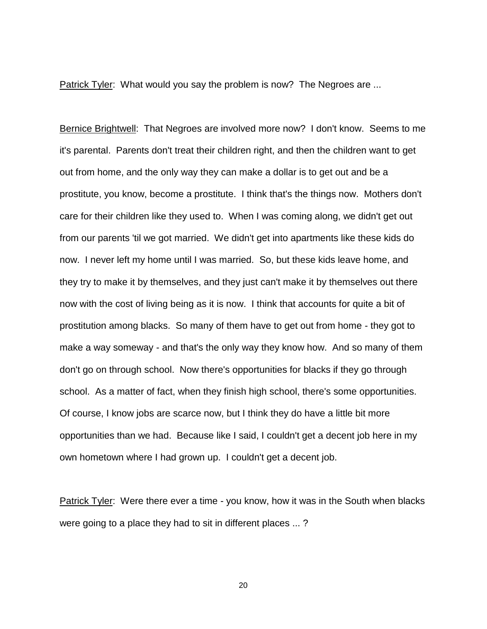Patrick Tyler: What would you say the problem is now? The Negroes are ...

Bernice Brightwell: That Negroes are involved more now? I don't know. Seems to me it's parental. Parents don't treat their children right, and then the children want to get out from home, and the only way they can make a dollar is to get out and be a prostitute, you know, become a prostitute. I think that's the things now. Mothers don't care for their children like they used to. When I was coming along, we didn't get out from our parents 'til we got married. We didn't get into apartments like these kids do now. I never left my home until I was married. So, but these kids leave home, and they try to make it by themselves, and they just can't make it by themselves out there now with the cost of living being as it is now. I think that accounts for quite a bit of prostitution among blacks. So many of them have to get out from home - they got to make a way someway - and that's the only way they know how. And so many of them don't go on through school. Now there's opportunities for blacks if they go through school. As a matter of fact, when they finish high school, there's some opportunities. Of course, I know jobs are scarce now, but I think they do have a little bit more opportunities than we had. Because like I said, I couldn't get a decent job here in my own hometown where I had grown up. I couldn't get a decent job.

Patrick Tyler: Were there ever a time - you know, how it was in the South when blacks were going to a place they had to sit in different places ... ?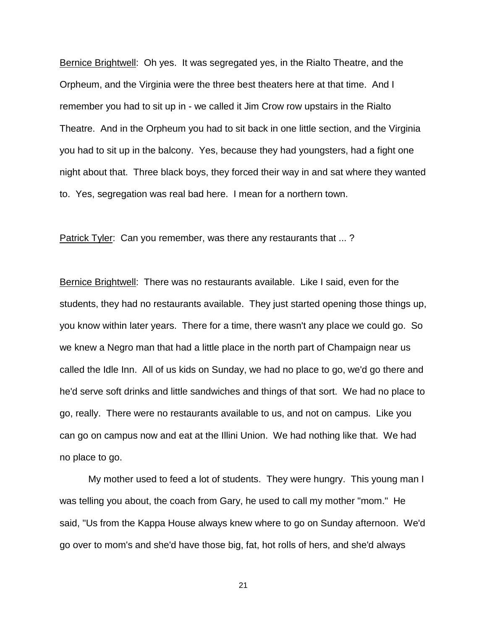Bernice Brightwell: Oh yes. It was segregated yes, in the Rialto Theatre, and the Orpheum, and the Virginia were the three best theaters here at that time. And I remember you had to sit up in - we called it Jim Crow row upstairs in the Rialto Theatre. And in the Orpheum you had to sit back in one little section, and the Virginia you had to sit up in the balcony. Yes, because they had youngsters, had a fight one night about that. Three black boys, they forced their way in and sat where they wanted to. Yes, segregation was real bad here. I mean for a northern town.

Patrick Tyler: Can you remember, was there any restaurants that ... ?

Bernice Brightwell: There was no restaurants available. Like I said, even for the students, they had no restaurants available. They just started opening those things up, you know within later years. There for a time, there wasn't any place we could go. So we knew a Negro man that had a little place in the north part of Champaign near us called the Idle Inn. All of us kids on Sunday, we had no place to go, we'd go there and he'd serve soft drinks and little sandwiches and things of that sort. We had no place to go, really. There were no restaurants available to us, and not on campus. Like you can go on campus now and eat at the Illini Union. We had nothing like that. We had no place to go.

My mother used to feed a lot of students. They were hungry. This young man I was telling you about, the coach from Gary, he used to call my mother "mom." He said, "Us from the Kappa House always knew where to go on Sunday afternoon. We'd go over to mom's and she'd have those big, fat, hot rolls of hers, and she'd always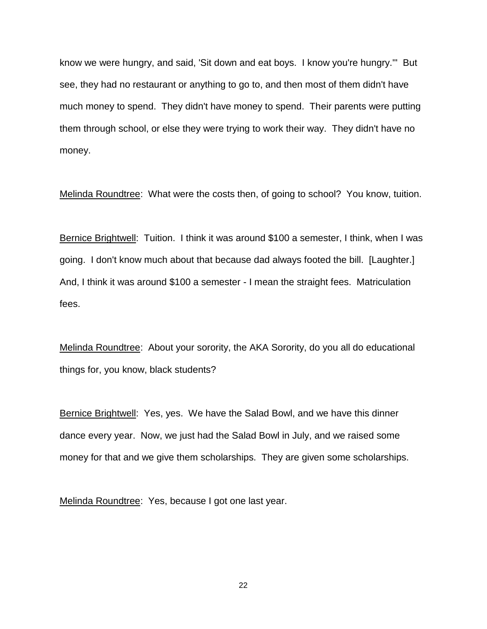know we were hungry, and said, 'Sit down and eat boys. I know you're hungry.'" But see, they had no restaurant or anything to go to, and then most of them didn't have much money to spend. They didn't have money to spend. Their parents were putting them through school, or else they were trying to work their way. They didn't have no money.

Melinda Roundtree: What were the costs then, of going to school? You know, tuition.

Bernice Brightwell: Tuition. I think it was around \$100 a semester, I think, when I was going. I don't know much about that because dad always footed the bill. [Laughter.] And, I think it was around \$100 a semester - I mean the straight fees. Matriculation fees.

Melinda Roundtree: About your sorority, the AKA Sorority, do you all do educational things for, you know, black students?

Bernice Brightwell: Yes, yes. We have the Salad Bowl, and we have this dinner dance every year. Now, we just had the Salad Bowl in July, and we raised some money for that and we give them scholarships. They are given some scholarships.

Melinda Roundtree: Yes, because I got one last year.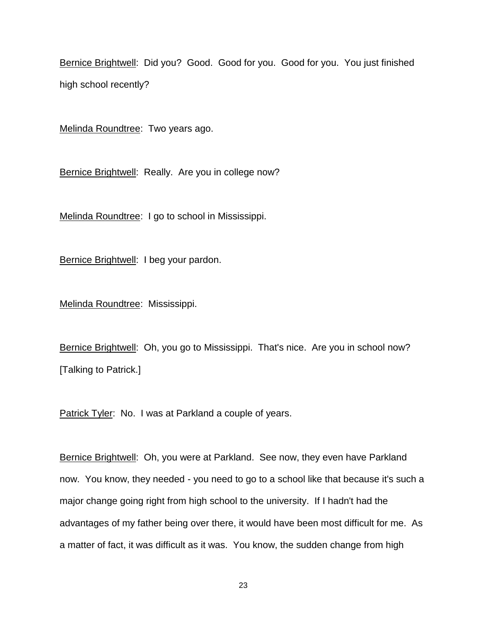Bernice Brightwell: Did you? Good. Good for you. Good for you. You just finished high school recently?

Melinda Roundtree: Two years ago.

Bernice Brightwell: Really. Are you in college now?

Melinda Roundtree: I go to school in Mississippi.

Bernice Brightwell: I beg your pardon.

Melinda Roundtree: Mississippi.

Bernice Brightwell: Oh, you go to Mississippi. That's nice. Are you in school now? [Talking to Patrick.]

Patrick Tyler: No. I was at Parkland a couple of years.

Bernice Brightwell: Oh, you were at Parkland. See now, they even have Parkland now. You know, they needed - you need to go to a school like that because it's such a major change going right from high school to the university. If I hadn't had the advantages of my father being over there, it would have been most difficult for me. As a matter of fact, it was difficult as it was. You know, the sudden change from high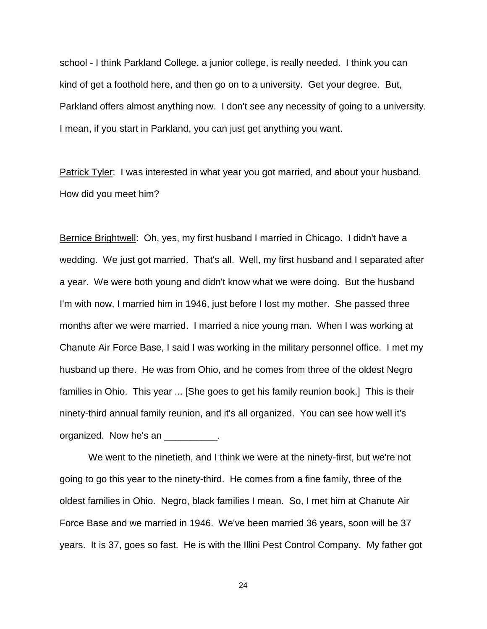school - I think Parkland College, a junior college, is really needed. I think you can kind of get a foothold here, and then go on to a university. Get your degree. But, Parkland offers almost anything now. I don't see any necessity of going to a university. I mean, if you start in Parkland, you can just get anything you want.

Patrick Tyler: I was interested in what year you got married, and about your husband. How did you meet him?

Bernice Brightwell: Oh, yes, my first husband I married in Chicago. I didn't have a wedding. We just got married. That's all. Well, my first husband and I separated after a year. We were both young and didn't know what we were doing. But the husband I'm with now, I married him in 1946, just before I lost my mother. She passed three months after we were married. I married a nice young man. When I was working at Chanute Air Force Base, I said I was working in the military personnel office. I met my husband up there. He was from Ohio, and he comes from three of the oldest Negro families in Ohio. This year ... [She goes to get his family reunion book.] This is their ninety-third annual family reunion, and it's all organized. You can see how well it's organized. Now he's an \_\_\_\_\_\_\_\_\_\_.

We went to the ninetieth, and I think we were at the ninety-first, but we're not going to go this year to the ninety-third. He comes from a fine family, three of the oldest families in Ohio. Negro, black families I mean. So, I met him at Chanute Air Force Base and we married in 1946. We've been married 36 years, soon will be 37 years. It is 37, goes so fast. He is with the Illini Pest Control Company. My father got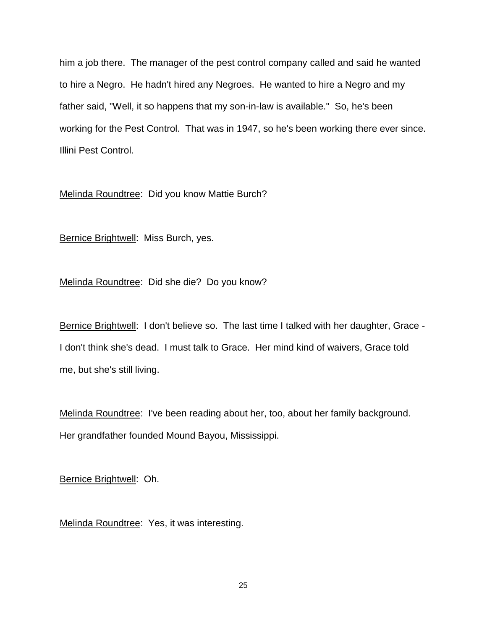him a job there. The manager of the pest control company called and said he wanted to hire a Negro. He hadn't hired any Negroes. He wanted to hire a Negro and my father said, "Well, it so happens that my son-in-law is available." So, he's been working for the Pest Control. That was in 1947, so he's been working there ever since. Illini Pest Control.

Melinda Roundtree: Did you know Mattie Burch?

Bernice Brightwell: Miss Burch, yes.

Melinda Roundtree: Did she die? Do you know?

Bernice Brightwell: I don't believe so. The last time I talked with her daughter, Grace - I don't think she's dead. I must talk to Grace. Her mind kind of waivers, Grace told me, but she's still living.

Melinda Roundtree: I've been reading about her, too, about her family background. Her grandfather founded Mound Bayou, Mississippi.

Bernice Brightwell: Oh.

Melinda Roundtree: Yes, it was interesting.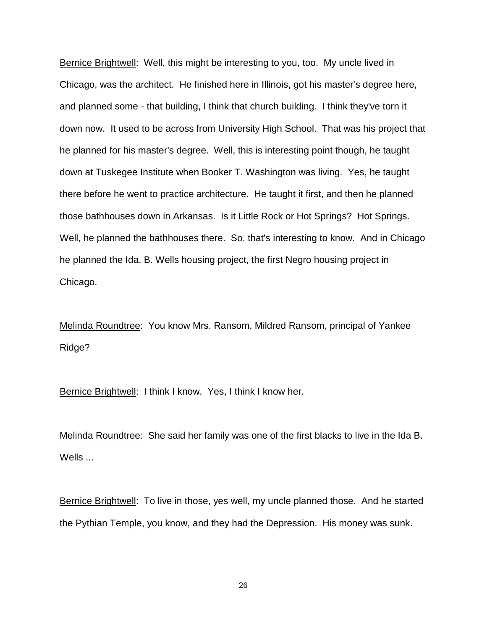Bernice Brightwell: Well, this might be interesting to you, too. My uncle lived in Chicago, was the architect. He finished here in Illinois, got his master's degree here, and planned some - that building, I think that church building. I think they've torn it down now. It used to be across from University High School. That was his project that he planned for his master's degree. Well, this is interesting point though, he taught down at Tuskegee Institute when Booker T. Washington was living. Yes, he taught there before he went to practice architecture. He taught it first, and then he planned those bathhouses down in Arkansas. Is it Little Rock or Hot Springs? Hot Springs. Well, he planned the bathhouses there. So, that's interesting to know. And in Chicago he planned the Ida. B. Wells housing project, the first Negro housing project in Chicago.

Melinda Roundtree: You know Mrs. Ransom, Mildred Ransom, principal of Yankee Ridge?

Bernice Brightwell: I think I know. Yes, I think I know her.

Melinda Roundtree: She said her family was one of the first blacks to live in the Ida B. Wells ...

Bernice Brightwell: To live in those, yes well, my uncle planned those. And he started the Pythian Temple, you know, and they had the Depression. His money was sunk.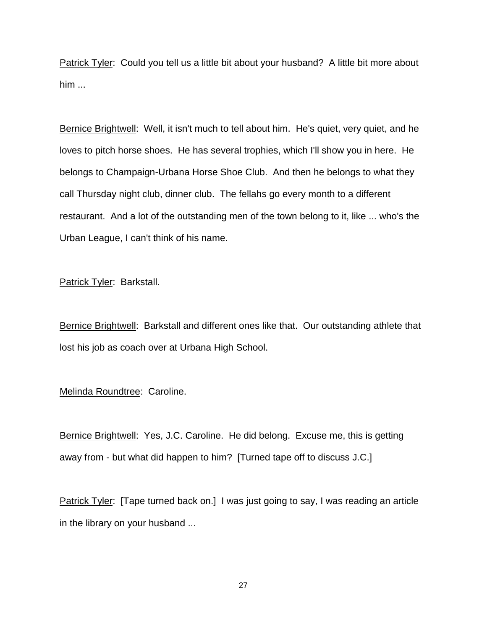Patrick Tyler: Could you tell us a little bit about your husband? A little bit more about him ...

Bernice Brightwell: Well, it isn't much to tell about him. He's quiet, very quiet, and he loves to pitch horse shoes. He has several trophies, which I'll show you in here. He belongs to Champaign-Urbana Horse Shoe Club. And then he belongs to what they call Thursday night club, dinner club. The fellahs go every month to a different restaurant. And a lot of the outstanding men of the town belong to it, like ... who's the Urban League, I can't think of his name.

Patrick Tyler: Barkstall.

Bernice Brightwell: Barkstall and different ones like that. Our outstanding athlete that lost his job as coach over at Urbana High School.

# Melinda Roundtree: Caroline.

Bernice Brightwell: Yes, J.C. Caroline. He did belong. Excuse me, this is getting away from - but what did happen to him? [Turned tape off to discuss J.C.]

Patrick Tyler: [Tape turned back on.] I was just going to say, I was reading an article in the library on your husband ...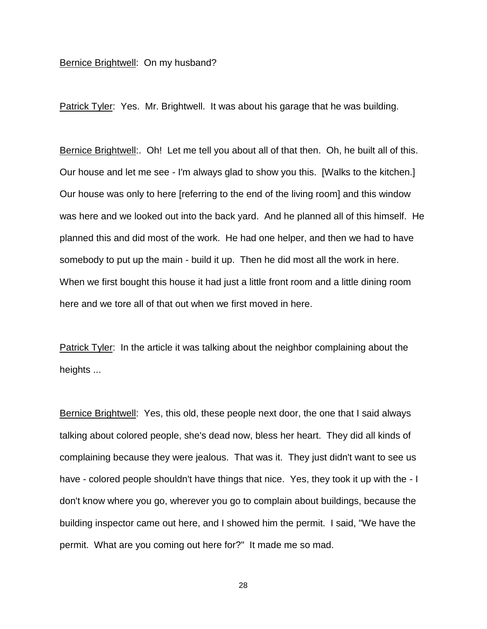### Bernice Brightwell: On my husband?

Patrick Tyler: Yes. Mr. Brightwell. It was about his garage that he was building.

Bernice Brightwell:. Oh! Let me tell you about all of that then. Oh, he built all of this. Our house and let me see - I'm always glad to show you this. [Walks to the kitchen.] Our house was only to here [referring to the end of the living room] and this window was here and we looked out into the back yard. And he planned all of this himself. He planned this and did most of the work. He had one helper, and then we had to have somebody to put up the main - build it up. Then he did most all the work in here. When we first bought this house it had just a little front room and a little dining room here and we tore all of that out when we first moved in here.

Patrick Tyler: In the article it was talking about the neighbor complaining about the heights ...

Bernice Brightwell: Yes, this old, these people next door, the one that I said always talking about colored people, she's dead now, bless her heart. They did all kinds of complaining because they were jealous. That was it. They just didn't want to see us have - colored people shouldn't have things that nice. Yes, they took it up with the - I don't know where you go, wherever you go to complain about buildings, because the building inspector came out here, and I showed him the permit. I said, "We have the permit. What are you coming out here for?" It made me so mad.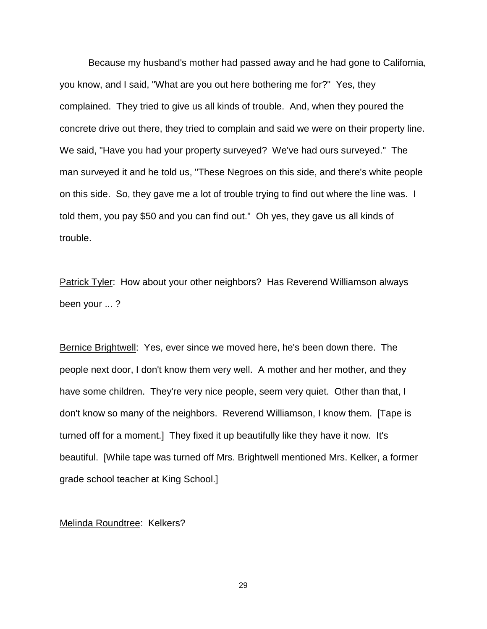Because my husband's mother had passed away and he had gone to California, you know, and I said, "What are you out here bothering me for?" Yes, they complained. They tried to give us all kinds of trouble. And, when they poured the concrete drive out there, they tried to complain and said we were on their property line. We said, "Have you had your property surveyed? We've had ours surveyed." The man surveyed it and he told us, "These Negroes on this side, and there's white people on this side. So, they gave me a lot of trouble trying to find out where the line was. I told them, you pay \$50 and you can find out." Oh yes, they gave us all kinds of trouble.

Patrick Tyler: How about your other neighbors? Has Reverend Williamson always been your ... ?

Bernice Brightwell: Yes, ever since we moved here, he's been down there. The people next door, I don't know them very well. A mother and her mother, and they have some children. They're very nice people, seem very quiet. Other than that, I don't know so many of the neighbors. Reverend Williamson, I know them. [Tape is turned off for a moment.] They fixed it up beautifully like they have it now. It's beautiful. [While tape was turned off Mrs. Brightwell mentioned Mrs. Kelker, a former grade school teacher at King School.]

Melinda Roundtree: Kelkers?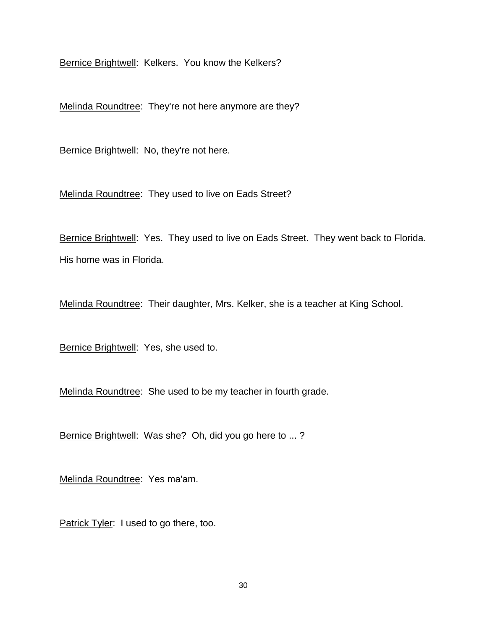Bernice Brightwell: Kelkers. You know the Kelkers?

Melinda Roundtree: They're not here anymore are they?

Bernice Brightwell: No, they're not here.

Melinda Roundtree: They used to live on Eads Street?

Bernice Brightwell: Yes. They used to live on Eads Street. They went back to Florida. His home was in Florida.

Melinda Roundtree: Their daughter, Mrs. Kelker, she is a teacher at King School.

Bernice Brightwell: Yes, she used to.

Melinda Roundtree: She used to be my teacher in fourth grade.

Bernice Brightwell: Was she? Oh, did you go here to ... ?

Melinda Roundtree: Yes ma'am.

Patrick Tyler: I used to go there, too.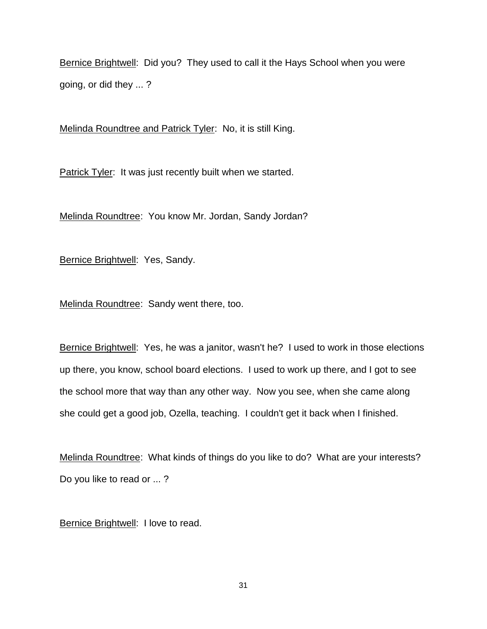Bernice Brightwell: Did you? They used to call it the Hays School when you were going, or did they ... ?

Melinda Roundtree and Patrick Tyler: No, it is still King.

Patrick Tyler: It was just recently built when we started.

Melinda Roundtree: You know Mr. Jordan, Sandy Jordan?

Bernice Brightwell: Yes, Sandy.

Melinda Roundtree: Sandy went there, too.

Bernice Brightwell: Yes, he was a janitor, wasn't he? I used to work in those elections up there, you know, school board elections. I used to work up there, and I got to see the school more that way than any other way. Now you see, when she came along she could get a good job, Ozella, teaching. I couldn't get it back when I finished.

Melinda Roundtree: What kinds of things do you like to do? What are your interests? Do you like to read or ... ?

Bernice Brightwell: I love to read.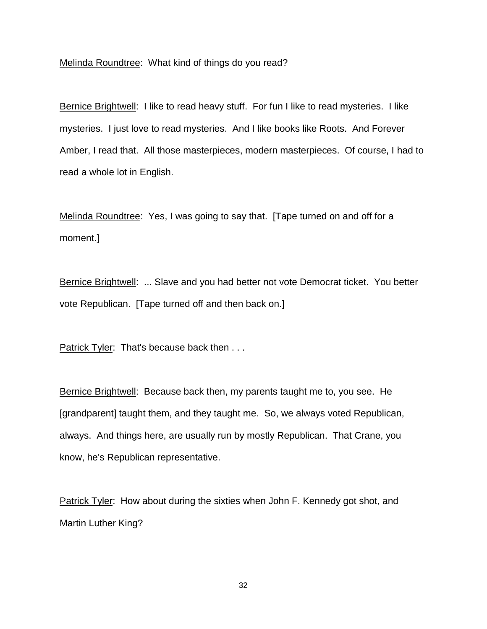Melinda Roundtree: What kind of things do you read?

Bernice Brightwell: I like to read heavy stuff. For fun I like to read mysteries. I like mysteries. I just love to read mysteries. And I like books like Roots. And Forever Amber, I read that. All those masterpieces, modern masterpieces. Of course, I had to read a whole lot in English.

Melinda Roundtree: Yes, I was going to say that. [Tape turned on and off for a moment.]

Bernice Brightwell: ... Slave and you had better not vote Democrat ticket. You better vote Republican. [Tape turned off and then back on.]

Patrick Tyler: That's because back then . . .

Bernice Brightwell: Because back then, my parents taught me to, you see. He [grandparent] taught them, and they taught me. So, we always voted Republican, always. And things here, are usually run by mostly Republican. That Crane, you know, he's Republican representative.

Patrick Tyler: How about during the sixties when John F. Kennedy got shot, and Martin Luther King?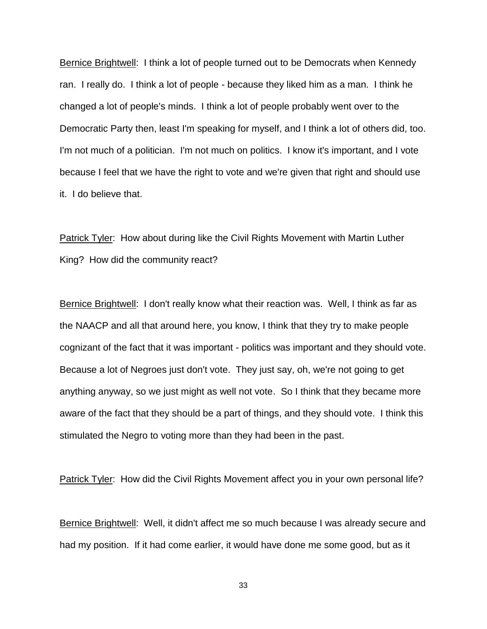Bernice Brightwell: I think a lot of people turned out to be Democrats when Kennedy ran. I really do. I think a lot of people - because they liked him as a man. I think he changed a lot of people's minds. I think a lot of people probably went over to the Democratic Party then, least I'm speaking for myself, and I think a lot of others did, too. I'm not much of a politician. I'm not much on politics. I know it's important, and I vote because I feel that we have the right to vote and we're given that right and should use it. I do believe that.

Patrick Tyler: How about during like the Civil Rights Movement with Martin Luther King? How did the community react?

Bernice Brightwell: I don't really know what their reaction was. Well, I think as far as the NAACP and all that around here, you know, I think that they try to make people cognizant of the fact that it was important - politics was important and they should vote. Because a lot of Negroes just don't vote. They just say, oh, we're not going to get anything anyway, so we just might as well not vote. So I think that they became more aware of the fact that they should be a part of things, and they should vote. I think this stimulated the Negro to voting more than they had been in the past.

Patrick Tyler: How did the Civil Rights Movement affect you in your own personal life?

Bernice Brightwell: Well, it didn't affect me so much because I was already secure and had my position. If it had come earlier, it would have done me some good, but as it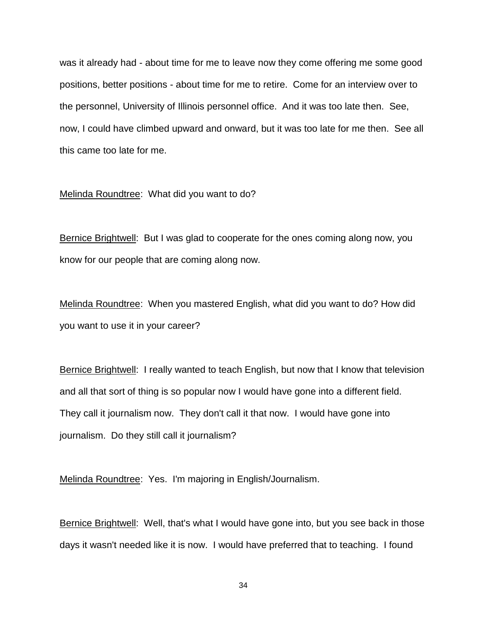was it already had - about time for me to leave now they come offering me some good positions, better positions - about time for me to retire. Come for an interview over to the personnel, University of Illinois personnel office. And it was too late then. See, now, I could have climbed upward and onward, but it was too late for me then. See all this came too late for me.

#### Melinda Roundtree: What did you want to do?

Bernice Brightwell: But I was glad to cooperate for the ones coming along now, you know for our people that are coming along now.

Melinda Roundtree: When you mastered English, what did you want to do? How did you want to use it in your career?

Bernice Brightwell: I really wanted to teach English, but now that I know that television and all that sort of thing is so popular now I would have gone into a different field. They call it journalism now. They don't call it that now. I would have gone into journalism. Do they still call it journalism?

Melinda Roundtree: Yes. I'm majoring in English/Journalism.

Bernice Brightwell: Well, that's what I would have gone into, but you see back in those days it wasn't needed like it is now. I would have preferred that to teaching. I found